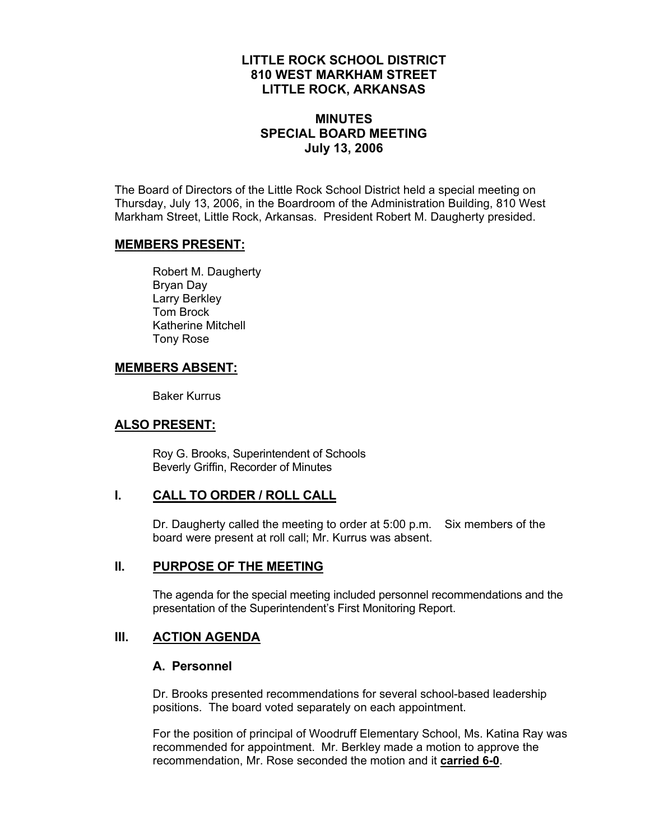## **LITTLE ROCK SCHOOL DISTRICT 810 WEST MARKHAM STREET LITTLE ROCK, ARKANSAS**

# **MINUTES SPECIAL BOARD MEETING July 13, 2006**

The Board of Directors of the Little Rock School District held a special meeting on Thursday, July 13, 2006, in the Boardroom of the Administration Building, 810 West Markham Street, Little Rock, Arkansas. President Robert M. Daugherty presided.

## **MEMBERS PRESENT:**

Robert M. Daugherty Bryan Day Larry Berkley Tom Brock Katherine Mitchell Tony Rose

## **MEMBERS ABSENT:**

Baker Kurrus

## **ALSO PRESENT:**

 Roy G. Brooks, Superintendent of Schools Beverly Griffin, Recorder of Minutes

## **I. CALL TO ORDER / ROLL CALL**

Dr. Daugherty called the meeting to order at 5:00 p.m. Six members of the board were present at roll call; Mr. Kurrus was absent.

#### **II. PURPOSE OF THE MEETING**

The agenda for the special meeting included personnel recommendations and the presentation of the Superintendent's First Monitoring Report.

## **III. ACTION AGENDA**

#### **A. Personnel**

Dr. Brooks presented recommendations for several school-based leadership positions. The board voted separately on each appointment.

For the position of principal of Woodruff Elementary School, Ms. Katina Ray was recommended for appointment. Mr. Berkley made a motion to approve the recommendation, Mr. Rose seconded the motion and it **carried 6-0**.